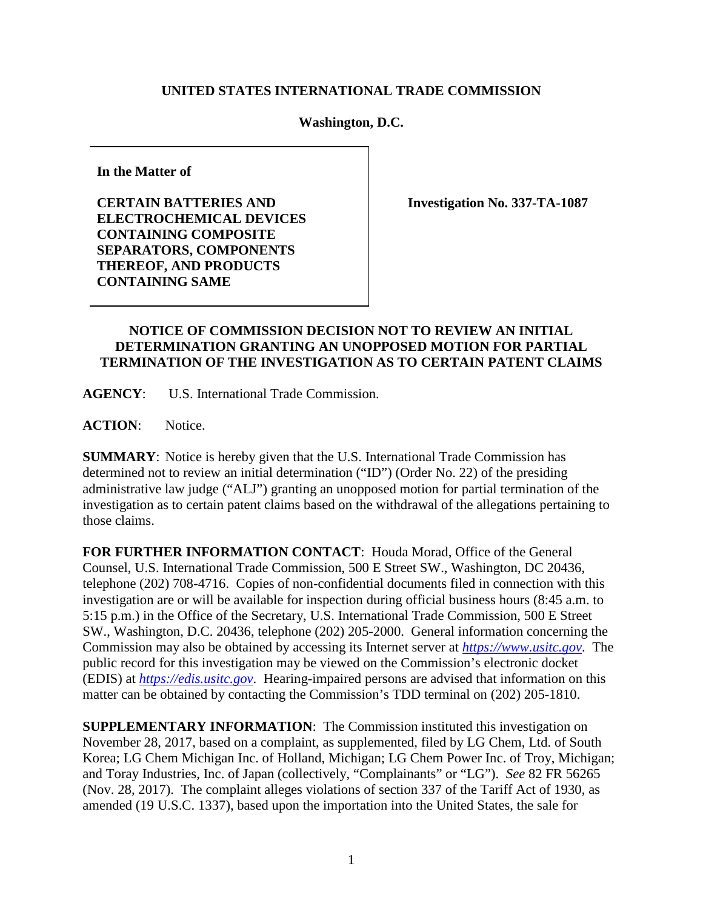## **UNITED STATES INTERNATIONAL TRADE COMMISSION**

## **Washington, D.C.**

**In the Matter of**

**CERTAIN BATTERIES AND ELECTROCHEMICAL DEVICES CONTAINING COMPOSITE SEPARATORS, COMPONENTS THEREOF, AND PRODUCTS CONTAINING SAME**

**Investigation No. 337-TA-1087**

## **NOTICE OF COMMISSION DECISION NOT TO REVIEW AN INITIAL DETERMINATION GRANTING AN UNOPPOSED MOTION FOR PARTIAL TERMINATION OF THE INVESTIGATION AS TO CERTAIN PATENT CLAIMS**

**AGENCY**: U.S. International Trade Commission.

ACTION: Notice.

**SUMMARY**: Notice is hereby given that the U.S. International Trade Commission has determined not to review an initial determination ("ID") (Order No. 22) of the presiding administrative law judge ("ALJ") granting an unopposed motion for partial termination of the investigation as to certain patent claims based on the withdrawal of the allegations pertaining to those claims.

**FOR FURTHER INFORMATION CONTACT**: Houda Morad, Office of the General Counsel, U.S. International Trade Commission, 500 E Street SW., Washington, DC 20436, telephone (202) 708-4716. Copies of non-confidential documents filed in connection with this investigation are or will be available for inspection during official business hours (8:45 a.m. to 5:15 p.m.) in the Office of the Secretary, U.S. International Trade Commission, 500 E Street SW., Washington, D.C. 20436, telephone (202) 205-2000. General information concerning the Commission may also be obtained by accessing its Internet server at *[https://www.usitc.gov](https://www.usitc.gov/)*. The public record for this investigation may be viewed on the Commission's electronic docket (EDIS) at *[https://edis.usitc.gov](http://edis.usitc.gov/)*. Hearing-impaired persons are advised that information on this matter can be obtained by contacting the Commission's TDD terminal on (202) 205-1810.

**SUPPLEMENTARY INFORMATION:** The Commission instituted this investigation on November 28, 2017, based on a complaint, as supplemented, filed by LG Chem, Ltd. of South Korea; LG Chem Michigan Inc. of Holland, Michigan; LG Chem Power Inc. of Troy, Michigan; and Toray Industries, Inc. of Japan (collectively, "Complainants" or "LG"). *See* 82 FR 56265 (Nov. 28, 2017). The complaint alleges violations of section 337 of the Tariff Act of 1930, as amended (19 U.S.C. 1337), based upon the importation into the United States, the sale for